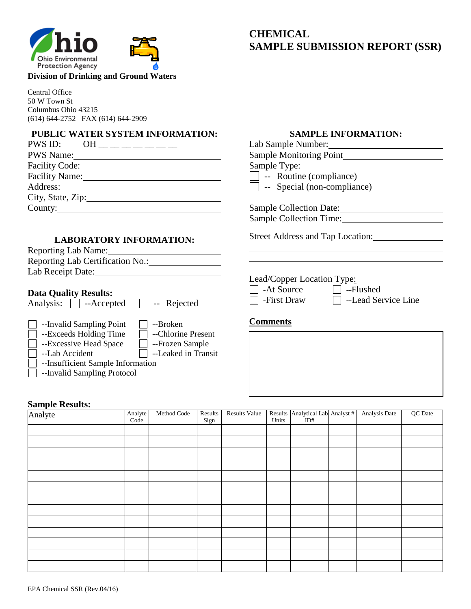

## **CHEMICAL SAMPLE SUBMISSION REPORT (SSR)**

#### **Division of Drinking and Ground Waters**

Central Office 50 W Town St Columbus Ohio 43215 (614) 644-2752 FAX (614) 644-2909

### **PUBLIC WATER SYSTEM INFORMATION:**

|                       | PWS ID: OH ________ |
|-----------------------|---------------------|
| <b>PWS Name:</b>      |                     |
| Facility Code:        |                     |
| <b>Facility Name:</b> |                     |
| Address:              |                     |
| City, State, Zip:     |                     |
| Country:              |                     |
|                       |                     |

#### **LABORATORY INFORMATION:**

| <b>Reporting Lab Name:</b>       |  |
|----------------------------------|--|
| Reporting Lab Certification No.: |  |
| Lab Receipt Date:                |  |
|                                  |  |

#### **Data Quality Results:**

Analysis:  $\Box$  --Accepted  $\Box$  -- Rejected

- --Invalid Sampling Point --Broken<br>
--Exceeds Holding Time --Chlorine Present  $\Box$  --Exceeds Holding Time
	-
- □ --Excessive Head Space □ --Frozen Sample  $\Box$  --Lab Accident  $\Box$  --Leaked in Transit
	-
- --Insufficient Sample Information
- --Invalid Sampling Protocol

# **Sa**<br>Ar

| <b>Sample Results:</b> |                 |             |                 |                      |       |                                         |               |         |
|------------------------|-----------------|-------------|-----------------|----------------------|-------|-----------------------------------------|---------------|---------|
| Analyte                | Analyte<br>Code | Method Code | Results<br>Sign | <b>Results Value</b> | Units | Results Analytical Lab Analyst #<br>ID# | Analysis Date | QC Date |
|                        |                 |             |                 |                      |       |                                         |               |         |
|                        |                 |             |                 |                      |       |                                         |               |         |
|                        |                 |             |                 |                      |       |                                         |               |         |
|                        |                 |             |                 |                      |       |                                         |               |         |
|                        |                 |             |                 |                      |       |                                         |               |         |
|                        |                 |             |                 |                      |       |                                         |               |         |
|                        |                 |             |                 |                      |       |                                         |               |         |
|                        |                 |             |                 |                      |       |                                         |               |         |
|                        |                 |             |                 |                      |       |                                         |               |         |
|                        |                 |             |                 |                      |       |                                         |               |         |
|                        |                 |             |                 |                      |       |                                         |               |         |
|                        |                 |             |                 |                      |       |                                         |               |         |
|                        |                 |             |                 |                      |       |                                         |               |         |

#### **SAMPLE INFORMATION:**

| Sample Type:<br>$\vert \ \vert$ -- Routine (compliance) |                                    |
|---------------------------------------------------------|------------------------------------|
|                                                         | $\Box$ -- Special (non-compliance) |
| <b>Sample Collection Date:</b>                          |                                    |
| <b>Sample Collection Time:</b>                          |                                    |
|                                                         | Street Address and Tap Location:   |
|                                                         |                                    |
|                                                         |                                    |

#### **Comments**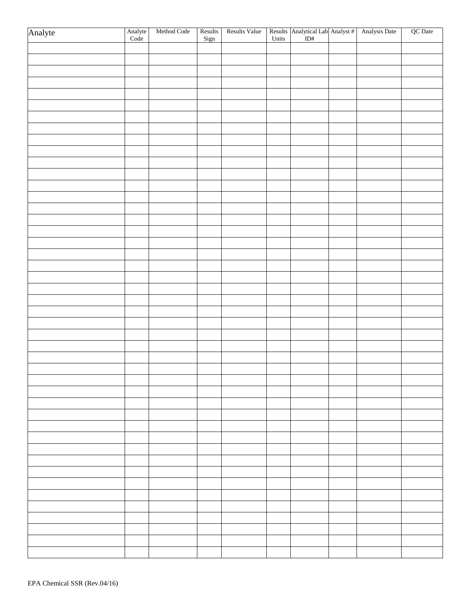| Analyte | Analyte<br>Code | Method Code | Results<br>Sign | Results Value |  | Results Analytical Lab Analyst # Analysis Date<br>Units ID# | QC Date |
|---------|-----------------|-------------|-----------------|---------------|--|-------------------------------------------------------------|---------|
|         |                 |             |                 |               |  |                                                             |         |
|         |                 |             |                 |               |  |                                                             |         |
|         |                 |             |                 |               |  |                                                             |         |
|         |                 |             |                 |               |  |                                                             |         |
|         |                 |             |                 |               |  |                                                             |         |
|         |                 |             |                 |               |  |                                                             |         |
|         |                 |             |                 |               |  |                                                             |         |
|         |                 |             |                 |               |  |                                                             |         |
|         |                 |             |                 |               |  |                                                             |         |
|         |                 |             |                 |               |  |                                                             |         |
|         |                 |             |                 |               |  |                                                             |         |
|         |                 |             |                 |               |  |                                                             |         |
|         |                 |             |                 |               |  |                                                             |         |
|         |                 |             |                 |               |  |                                                             |         |
|         |                 |             |                 |               |  |                                                             |         |
|         |                 |             |                 |               |  |                                                             |         |
|         |                 |             |                 |               |  |                                                             |         |
|         |                 |             |                 |               |  |                                                             |         |
|         |                 |             |                 |               |  |                                                             |         |
|         |                 |             |                 |               |  |                                                             |         |
|         |                 |             |                 |               |  |                                                             |         |
|         |                 |             |                 |               |  |                                                             |         |
|         |                 |             |                 |               |  |                                                             |         |
|         |                 |             |                 |               |  |                                                             |         |
|         |                 |             |                 |               |  |                                                             |         |
|         |                 |             |                 |               |  |                                                             |         |
|         |                 |             |                 |               |  |                                                             |         |
|         |                 |             |                 |               |  |                                                             |         |
|         |                 |             |                 |               |  |                                                             |         |
|         |                 |             |                 |               |  |                                                             |         |
|         |                 |             |                 |               |  |                                                             |         |
|         |                 |             |                 |               |  |                                                             |         |
|         |                 |             |                 |               |  |                                                             |         |
|         |                 |             |                 |               |  |                                                             |         |
|         |                 |             |                 |               |  |                                                             |         |
|         |                 |             |                 |               |  |                                                             |         |
|         |                 |             |                 |               |  |                                                             |         |
|         |                 |             |                 |               |  |                                                             |         |
|         |                 |             |                 |               |  |                                                             |         |
|         |                 |             |                 |               |  |                                                             |         |
|         |                 |             |                 |               |  |                                                             |         |
|         |                 |             |                 |               |  |                                                             |         |
|         |                 |             |                 |               |  |                                                             |         |
|         |                 |             |                 |               |  |                                                             |         |
|         |                 |             |                 |               |  |                                                             |         |
|         |                 |             |                 |               |  |                                                             |         |
|         |                 |             |                 |               |  |                                                             |         |
|         |                 |             |                 |               |  |                                                             |         |
|         |                 |             |                 |               |  |                                                             |         |
|         |                 |             |                 |               |  |                                                             |         |
|         |                 |             |                 |               |  |                                                             |         |
|         |                 |             |                 |               |  |                                                             |         |
|         |                 |             |                 |               |  |                                                             |         |